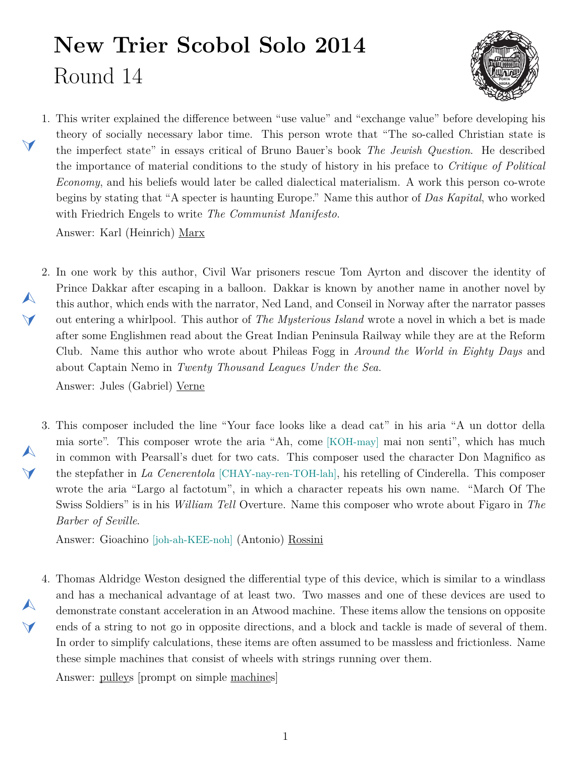## **New Trier Scobol Solo 2014** Round 14

 $\blacktriangleleft$ 

 $\blacktriangle$ 

 $\blacktriangledown$ 

 $\blacktriangle$ 

 $\blacktriangledown$ 

 $\blacktriangle$ 

 $\blacktriangledown$ 



- <span id="page-0-1"></span>1. This writer explained the difference between "use value" and "exchange value" before developing his theory of socially necessary labor time. This person wrote that "The so-called Christian state is the imperfect state" in essays critical of Bruno Bauer's book *The Jewish Question*. He described the importance of material conditions to the study of history in his preface to *Critique of Political Economy*, and his beliefs would later be called dialectical materialism. A work this person co-wrote begins by stating that "A specter is haunting Europe." Name this author of *Das Kapital*, who worked with Friedrich Engels to write *The Communist Manifesto*. Answer: Karl (Heinrich) Marx
- <span id="page-0-0"></span>2. In one work by this author, Civil War prisoners rescue Tom Ayrton and discover the identity of Prince Dakkar after escaping in a balloon. Dakkar is known by another name in another novel by this author, which ends with the narrator, Ned Land, and Conseil in Norway after the narrator passes out entering a whirlpool. This author of *The Mysterious Island* wrote a novel in which a bet is made after some Englishmen read about the Great Indian Peninsula Railway while they are at the Reform Club. Name this author who wrote about Phileas Fogg in *Around the World in Eighty Days* and about Captain Nemo in *Twenty Thousand Leagues Under the Sea*. Answer: Jules (Gabriel) Verne
- <span id="page-0-2"></span>3. This composer included the line "Your face looks like a dead cat" in his aria "A un dottor della mia sorte". This composer wrote the aria "Ah, come [KOH-may] mai non senti", which has much in common with Pearsall's duet for two cats. This composer used the character Don Magnifico as the stepfather in *La Cenerentola* [CHAY-nay-ren-TOH-lah], his retelling of Cinderella. This composer wrote the aria "Largo al factotum", in which a character repeats his own name. "March Of The Swiss Soldiers" is in his *William Tell* Overture. Name this composer who wrote about Figaro in *The Barber of Seville*.

Answer: Gioachino [joh-ah-KEE-noh] (Antonio) Rossini

<span id="page-0-3"></span>4. Thomas Aldridge Weston designed the differential type of this device, which is similar to a windlass and has a mechanical advantage of at least two. Two masses and one of these devices are used to demonstrate constant acceleration in an Atwood machine. These items allow the tensions on opposite ends of a string to not go in opposite directions, and a block and tackle is made of several of them. In order to simplify calculations, these items are often assumed to be massless and frictionless. Name these simple machines that consist of wheels with strings running over them.

Answer: pulleys [prompt on simple machines]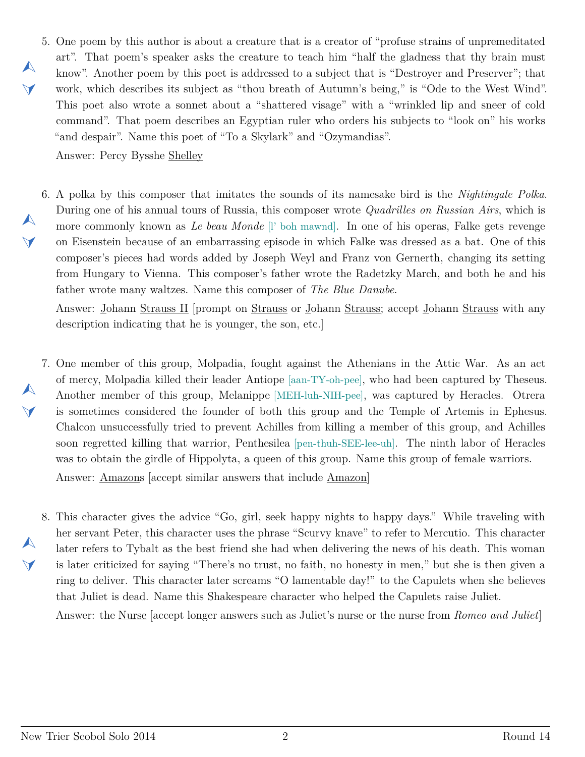<span id="page-1-0"></span>5. One poem by this author is about a creature that is a creator of "profuse strains of unpremeditated art". That poem's speaker asks the creature to teach him "half the gladness that thy brain must know". Another poem by this poet is addressed to a subject that is "Destroyer and Preserver"; that work, which describes its subject as "thou breath of Autumn's being," is "Ode to the West Wind". This poet also wrote a sonnet about a "shattered visage" with a "wrinkled lip and sneer of cold command". That poem describes an Egyptian ruler who orders his subjects to "look on" his works "and despair". Name this poet of "To a Skylark" and "Ozymandias".

Answer: Percy Bysshe Shelley

 $\blacktriangle$ 

 $\blacktriangledown$ 

 $\blacktriangle$ 

 $\blacktriangledown$ 

 $\blacktriangle$ 

 $\blacktriangledown$ 

<span id="page-1-1"></span>6. A polka by this composer that imitates the sounds of its namesake bird is the *Nightingale Polka*. During one of his annual tours of Russia, this composer wrote *Quadrilles on Russian Airs*, which is more commonly known as *Le beau Monde* [l' boh mawnd]. In one of his operas, Falke gets revenge on Eisenstein because of an embarrassing episode in which Falke was dressed as a bat. One of this composer's pieces had words added by Joseph Weyl and Franz von Gernerth, changing its setting from Hungary to Vienna. This composer's father wrote the Radetzky March, and both he and his father wrote many waltzes. Name this composer of *The Blue Danube*.

Answer: Johann Strauss II [prompt on Strauss or Johann Strauss; accept Johann Strauss with any description indicating that he is younger, the son, etc.]

- <span id="page-1-2"></span>7. One member of this group, Molpadia, fought against the Athenians in the Attic War. As an act of mercy, Molpadia killed their leader Antiope [aan-TY-oh-pee], who had been captured by Theseus. Another member of this group, Melanippe [MEH-luh-NIH-pee], was captured by Heracles. Otrera is sometimes considered the founder of both this group and the Temple of Artemis in Ephesus. Chalcon unsuccessfully tried to prevent Achilles from killing a member of this group, and Achilles soon regretted killing that warrior, Penthesilea [pen-thuh-SEE-lee-uh]. The ninth labor of Heracles was to obtain the girdle of Hippolyta, a queen of this group. Name this group of female warriors. Answer: Amazons [accept similar answers that include Amazon]
- <span id="page-1-3"></span>8. This character gives the advice "Go, girl, seek happy nights to happy days." While traveling with  $\blacktriangle$  $\blacktriangledown$ her servant Peter, this character uses the phrase "Scurvy knave" to refer to Mercutio. This character later refers to Tybalt as the best friend she had when delivering the news of his death. This woman is later criticized for saying "There's no trust, no faith, no honesty in men," but she is then given a ring to deliver. This character later screams "O lamentable day!" to the Capulets when she believes that Juliet is dead. Name this Shakespeare character who helped the Capulets raise Juliet.

Answer: the Nurse [accept longer answers such as Juliet's nurse or the nurse from *Romeo and Juliet*]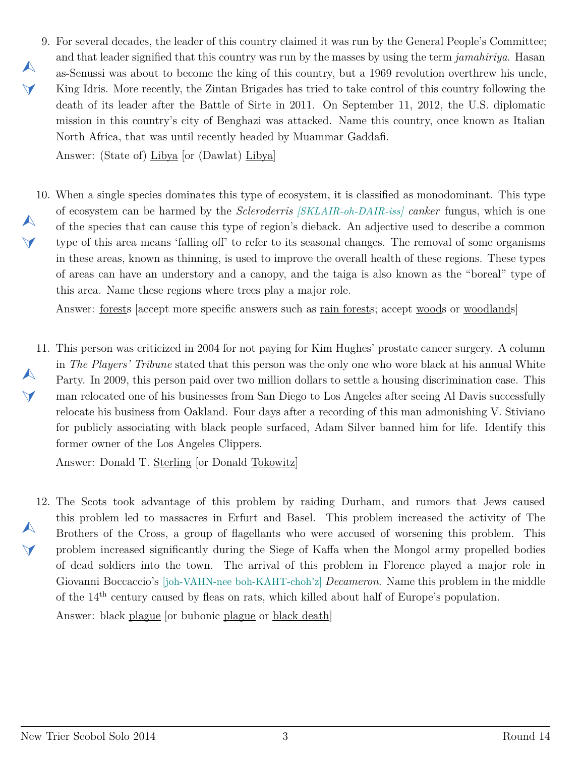<span id="page-2-0"></span>9. For several decades, the leader of this country claimed it was run by the General People's Committee; and that leader signified that this country was run by the masses by using the term *jamahiriya*. Hasan as-Senussi was about to become the king of this country, but a 1969 revolution overthrew his uncle, King Idris. More recently, the Zintan Brigades has tried to take control of this country following the death of its leader after the Battle of Sirte in 2011. On September 11, 2012, the U.S. diplomatic mission in this country's city of Benghazi was attacked. Name this country, once known as Italian North Africa, that was until recently headed by Muammar Gaddafi.

Answer: (State of) Libya [or (Dawlat) Libya]

 $\blacktriangle$ 

 $\vee$ 

<span id="page-2-1"></span>10. When a single species dominates this type of ecosystem, it is classified as monodominant. This type  $\blacktriangle$  $\vee$ of ecosystem can be harmed by the *Scleroderris [SKLAIR-oh-DAIR-iss] canker* fungus, which is one of the species that can cause this type of region's dieback. An adjective used to describe a common type of this area means 'falling off' to refer to its seasonal changes. The removal of some organisms in these areas, known as thinning, is used to improve the overall health of these regions. These types of areas can have an understory and a canopy, and the taiga is also known as the "boreal" type of this area. Name these regions where trees play a major role.

Answer: forests [accept more specific answers such as rain forests; accept woods or woodlands]

<span id="page-2-2"></span>11. This person was criticized in 2004 for not paying for Kim Hughes' prostate cancer surgery. A column  $\blacktriangle$  $\blacktriangledown$ in *The Players' Tribune* stated that this person was the only one who wore black at his annual White Party. In 2009, this person paid over two million dollars to settle a housing discrimination case. This man relocated one of his businesses from San Diego to Los Angeles after seeing Al Davis successfully relocate his business from Oakland. Four days after a recording of this man admonishing V. Stiviano for publicly associating with black people surfaced, Adam Silver banned him for life. Identify this former owner of the Los Angeles Clippers.

Answer: Donald T. Sterling [or Donald Tokowitz]

<span id="page-2-3"></span>12. The Scots took advantage of this problem by raiding Durham, and rumors that Jews caused  $\blacktriangle$  $\blacktriangledown$ this problem led to massacres in Erfurt and Basel. This problem increased the activity of The Brothers of the Cross, a group of flagellants who were accused of worsening this problem. This problem increased significantly during the Siege of Kaffa when the Mongol army propelled bodies of dead soldiers into the town. The arrival of this problem in Florence played a major role in Giovanni Boccaccio's [joh-VAHN-nee boh-KAHT-choh'z] *Decameron*. Name this problem in the middle of the 14th century caused by fleas on rats, which killed about half of Europe's population. Answer: black plague [or bubonic plague or black death]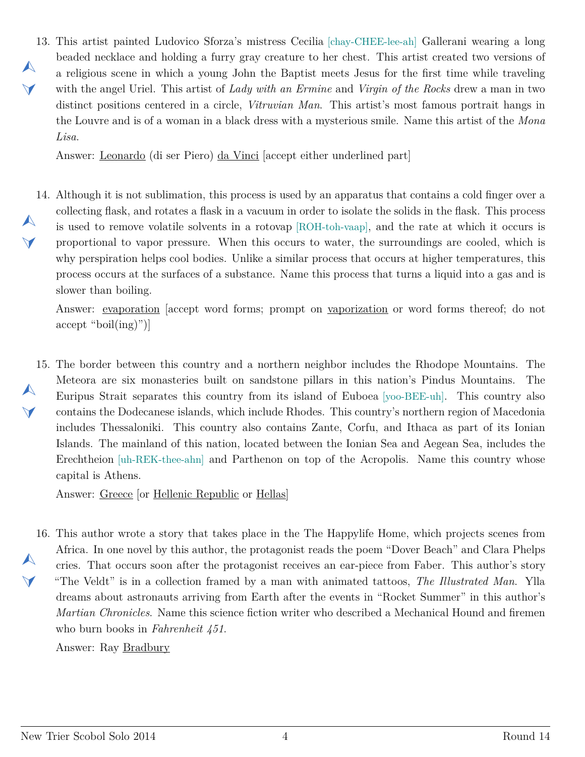<span id="page-3-0"></span>13. This artist painted Ludovico Sforza's mistress Cecilia [chay-CHEE-lee-ah] Gallerani wearing a long  $\blacktriangle$  $\blacktriangledown$ beaded necklace and holding a furry gray creature to her chest. This artist created two versions of a religious scene in which a young John the Baptist meets Jesus for the first time while traveling with the angel Uriel. This artist of *Lady with an Ermine* and *Virgin of the Rocks* drew a man in two distinct positions centered in a circle, *Vitruvian Man*. This artist's most famous portrait hangs in the Louvre and is of a woman in a black dress with a mysterious smile. Name this artist of the *Mona Lisa*.

Answer: Leonardo (di ser Piero) da Vinci [accept either underlined part]

<span id="page-3-1"></span>14. Although it is not sublimation, this process is used by an apparatus that contains a cold finger over a  $\blacktriangle$  $\vee$ collecting flask, and rotates a flask in a vacuum in order to isolate the solids in the flask. This process is used to remove volatile solvents in a rotovap [ROH-toh-vaap], and the rate at which it occurs is proportional to vapor pressure. When this occurs to water, the surroundings are cooled, which is why perspiration helps cool bodies. Unlike a similar process that occurs at higher temperatures, this process occurs at the surfaces of a substance. Name this process that turns a liquid into a gas and is slower than boiling.

Answer: evaporation [accept word forms; prompt on vaporization or word forms thereof; do not accept "boil(ing)")]

<span id="page-3-2"></span>15. The border between this country and a northern neighbor includes the Rhodope Mountains. The  $\blacktriangle$  $\blacktriangledown$ Meteora are six monasteries built on sandstone pillars in this nation's Pindus Mountains. The Euripus Strait separates this country from its island of Euboea [yoo-BEE-uh]. This country also contains the Dodecanese islands, which include Rhodes. This country's northern region of Macedonia includes Thessaloniki. This country also contains Zante, Corfu, and Ithaca as part of its Ionian Islands. The mainland of this nation, located between the Ionian Sea and Aegean Sea, includes the Erechtheion [uh-REK-thee-ahn] and Parthenon on top of the Acropolis. Name this country whose capital is Athens.

Answer: Greece [or Hellenic Republic or Hellas]

<span id="page-3-3"></span>16. This author wrote a story that takes place in the The Happylife Home, which projects scenes from  $\blacktriangle$  $\blacktriangledown$ Africa. In one novel by this author, the protagonist reads the poem "Dover Beach" and Clara Phelps cries. That occurs soon after the protagonist receives an ear-piece from Faber. This author's story "The Veldt" is in a collection framed by a man with animated tattoos, *The Illustrated Man*. Ylla dreams about astronauts arriving from Earth after the events in "Rocket Summer" in this author's *Martian Chronicles*. Name this science fiction writer who described a Mechanical Hound and firemen who burn books in *Fahrenheit 451*.

Answer: Ray Bradbury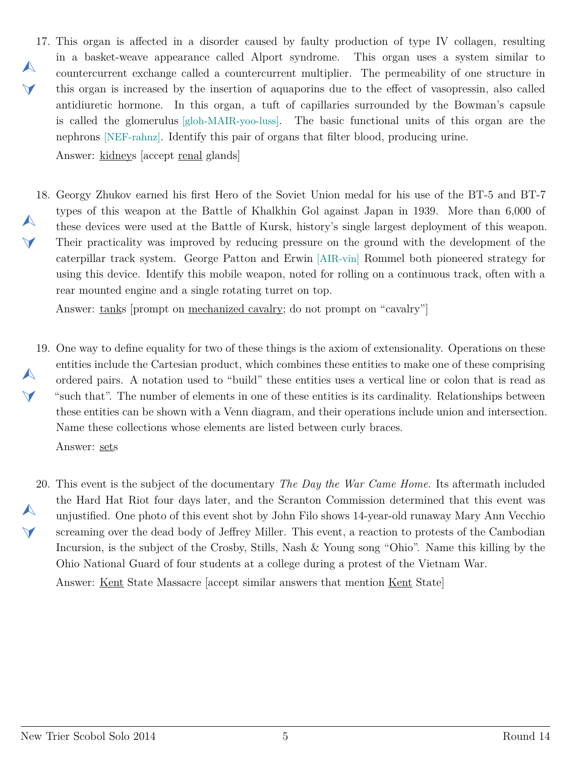- <span id="page-4-0"></span>17. This organ is affected in a disorder caused by faulty production of type IV collagen, resulting  $\blacktriangle$  $\blacktriangleleft$ in a basket-weave appearance called Alport syndrome. This organ uses a system similar to countercurrent exchange called a countercurrent multiplier. The permeability of one structure in this organ is increased by the insertion of aquaporins due to the effect of vasopressin, also called antidiuretic hormone. In this organ, a tuft of capillaries surrounded by the Bowman's capsule is called the glomerulus [gloh-MAIR-yoo-luss]. The basic functional units of this organ are the nephrons [NEF-rahnz]. Identify this pair of organs that filter blood, producing urine. Answer: kidneys [accept renal glands]
- <span id="page-4-1"></span>18. Georgy Zhukov earned his first Hero of the Soviet Union medal for his use of the BT-5 and BT-7  $\blacktriangle$  $\vee$ types of this weapon at the Battle of Khalkhin Gol against Japan in 1939. More than 6,000 of these devices were used at the Battle of Kursk, history's single largest deployment of this weapon. Their practicality was improved by reducing pressure on the ground with the development of the caterpillar track system. George Patton and Erwin [AIR-vin] Rommel both pioneered strategy for using this device. Identify this mobile weapon, noted for rolling on a continuous track, often with a rear mounted engine and a single rotating turret on top.

Answer: tanks [prompt on mechanized cavalry; do not prompt on "cavalry"]

- <span id="page-4-2"></span>19. One way to define equality for two of these things is the axiom of extensionality. Operations on these  $\blacktriangle$  $\blacktriangle$ entities include the Cartesian product, which combines these entities to make one of these comprising ordered pairs. A notation used to "build" these entities uses a vertical line or colon that is read as "such that". The number of elements in one of these entities is its cardinality. Relationships between these entities can be shown with a Venn diagram, and their operations include union and intersection. Name these collections whose elements are listed between curly braces. Answer: sets
- <span id="page-4-3"></span>20. This event is the subject of the documentary *The Day the War Came Home*. Its aftermath included  $\blacktriangle$  $\blacktriangledown$ the Hard Hat Riot four days later, and the Scranton Commission determined that this event was unjustified. One photo of this event shot by John Filo shows 14-year-old runaway Mary Ann Vecchio screaming over the dead body of Jeffrey Miller. This event, a reaction to protests of the Cambodian Incursion, is the subject of the Crosby, Stills, Nash & Young song "Ohio". Name this killing by the Ohio National Guard of four students at a college during a protest of the Vietnam War.

Answer: Kent State Massacre [accept similar answers that mention Kent State]